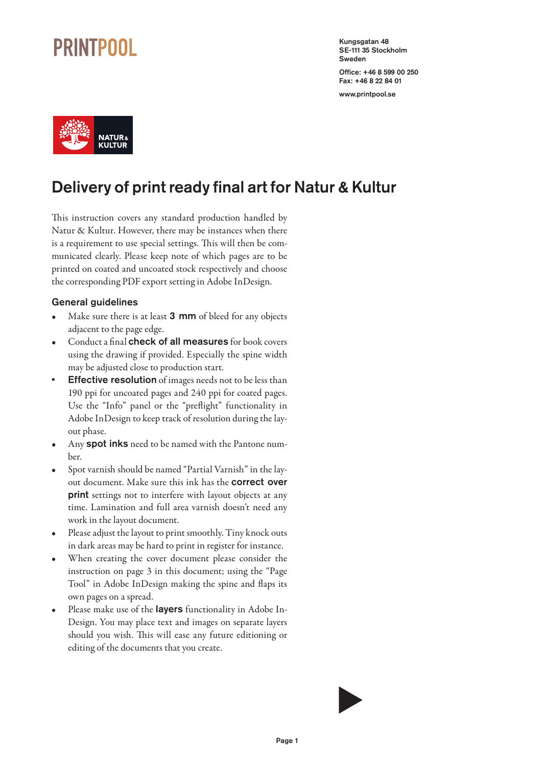### **PRINTPOOL**

Kungsgatan 48 SE-111 35 Stockholm Sweden

Office: +46 8 599 00 250 Fax: +46 8 22 84 01

www.printpool.se



### Delivery of print ready final art for Natur & Kultur

This instruction covers any standard production handled by Natur & Kultur. However, there may be instances when there is a requirement to use special settings. This will then be communicated clearly. Please keep note of which pages are to be printed on coated and uncoated stock respectively and choose the corresponding PDF export setting in Adobe InDesign.

#### General guidelines

- Make sure there is at least **3 mm** of bleed for any objects adjacent to the page edge.
- Conduct a final check of all measures for book covers using the drawing if provided. Especially the spine width may be adjusted close to production start.
- **Effective resolution** of images needs not to be less than 190 ppi for uncoated pages and 240 ppi for coated pages. Use the "Info" panel or the "preflight" functionality in Adobe InDesign to keep track of resolution during the layout phase.
- Any **spot inks** need to be named with the Pantone number.
- Spot varnish should be named "Partial Varnish" in the layout document. Make sure this ink has the correct over print settings not to interfere with layout objects at any time. Lamination and full area varnish doesn't need any work in the layout document.
- Please adjust the layout to print smoothly. Tiny knock outs in dark areas may be hard to print in register for instance.
- When creating the cover document please consider the instruction on page 3 in this document; using the "Page Tool" in Adobe InDesign making the spine and flaps its own pages on a spread.
- Please make use of the **layers** functionality in Adobe In-Design. You may place text and images on separate layers should you wish. This will ease any future editioning or editing of the documents that you create.

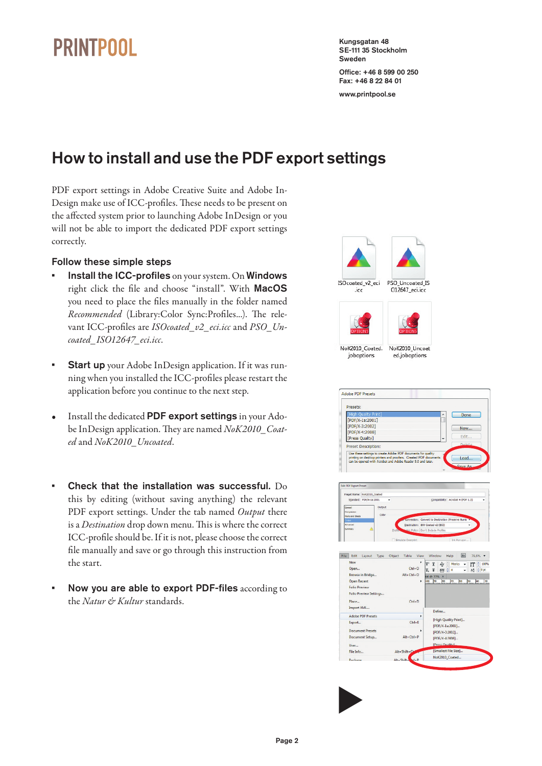## **PRINTPOOL**

Kungsgatan 48 SE-111 35 Stockholm Sweden

Office: +46 8 599 00 250 Fax: +46 8 22 84 01 www.printpool.se

How to install and use the PDF export settings

PDF export settings in Adobe Creative Suite and Adobe In-Design make use of ICC-profiles. These needs to be present on the affected system prior to launching Adobe InDesign or you will not be able to import the dedicated PDF export settings correctly.

#### Follow these simple steps

- Install the ICC-profiles on your system. On Windows right click the file and choose "install". With MacOS you need to place the files manually in the folder named *Recommended* (Library:Color Sync:Profiles...). The relevant ICC-profiles are *ISOcoated\_v2\_eci.icc* and *PSO\_Uncoated\_ISO12647\_eci.icc*.
- **Start up** your Adobe InDesign application. If it was running when you installed the ICC-profiles please restart the application before you continue to the next step.
- Install the dedicated PDF export settings in your Adobe InDesign application. They are named *NoK2010\_Coated* and *NoK2010\_Uncoated*.
- Check that the installation was successful. Do this by editing (without saving anything) the relevant PDF export settings. Under the tab named *Output* there is a *Destination* drop down menu. This is where the correct ICC-profile should be. If it is not, please choose the correct file manually and save or go through this instruction from the start.
- Now you are able to export PDF-files according to the *Natur & Kultur* standards.





Alt+Shift+

Smallert File Size)

NoK2010 Coated..

 $\blacktriangleright$ 

File Info.

Dackane